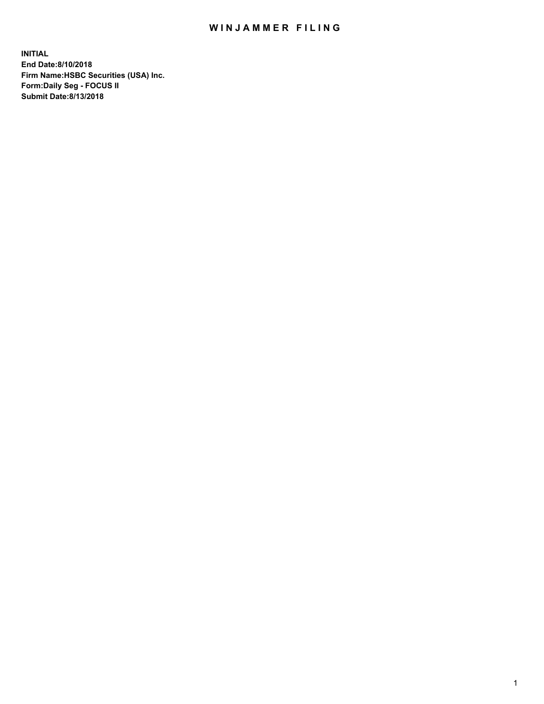## WIN JAMMER FILING

**INITIAL End Date:8/10/2018 Firm Name:HSBC Securities (USA) Inc. Form:Daily Seg - FOCUS II Submit Date:8/13/2018**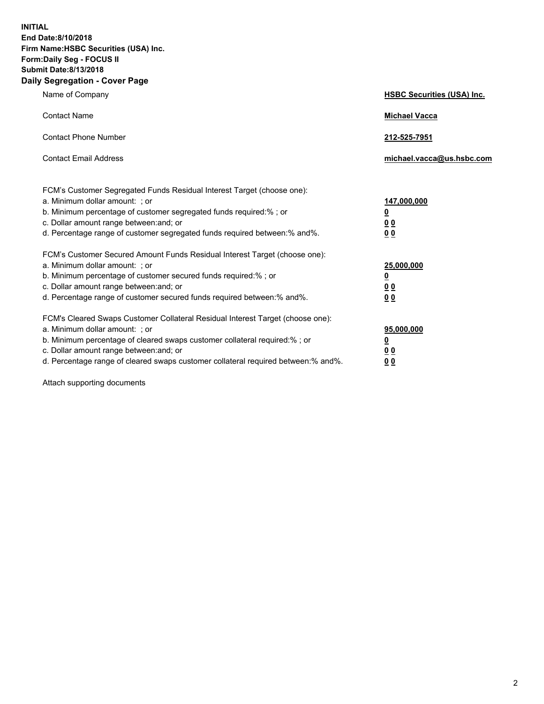**INITIAL End Date:8/10/2018 Firm Name:HSBC Securities (USA) Inc. Form:Daily Seg - FOCUS II Submit Date:8/13/2018 Daily Segregation - Cover Page**

| Name of Company                                                                                                                                                                                                                                                                                                                | <b>HSBC Securities (USA) Inc.</b>                          |
|--------------------------------------------------------------------------------------------------------------------------------------------------------------------------------------------------------------------------------------------------------------------------------------------------------------------------------|------------------------------------------------------------|
| <b>Contact Name</b>                                                                                                                                                                                                                                                                                                            | <b>Michael Vacca</b>                                       |
| <b>Contact Phone Number</b>                                                                                                                                                                                                                                                                                                    | 212-525-7951                                               |
| <b>Contact Email Address</b>                                                                                                                                                                                                                                                                                                   | michael.vacca@us.hsbc.com                                  |
| FCM's Customer Segregated Funds Residual Interest Target (choose one):<br>a. Minimum dollar amount: ; or<br>b. Minimum percentage of customer segregated funds required:% ; or<br>c. Dollar amount range between: and; or<br>d. Percentage range of customer segregated funds required between:% and%.                         | 147,000,000<br>₫<br>0 <sub>0</sub><br>0 <sub>0</sub>       |
| FCM's Customer Secured Amount Funds Residual Interest Target (choose one):<br>a. Minimum dollar amount: ; or<br>b. Minimum percentage of customer secured funds required:% ; or<br>c. Dollar amount range between: and; or<br>d. Percentage range of customer secured funds required between: % and %.                         | 25,000,000<br><u>0</u><br>0 <sub>0</sub><br>0 <sub>0</sub> |
| FCM's Cleared Swaps Customer Collateral Residual Interest Target (choose one):<br>a. Minimum dollar amount: ; or<br>b. Minimum percentage of cleared swaps customer collateral required:% ; or<br>c. Dollar amount range between: and; or<br>d. Percentage range of cleared swaps customer collateral required between:% and%. | 95,000,000<br><u>0</u><br><u>00</u><br>00                  |

Attach supporting documents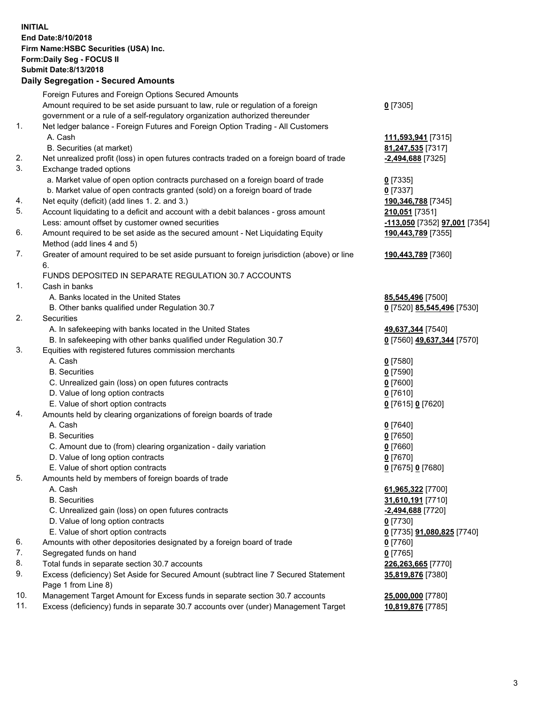**INITIAL End Date:8/10/2018 Firm Name:HSBC Securities (USA) Inc. Form:Daily Seg - FOCUS II Submit Date:8/13/2018 Daily Segregation - Secured Amounts** Foreign Futures and Foreign Options Secured Amounts Amount required to be set aside pursuant to law, rule or regulation of a foreign government or a rule of a self-regulatory organization authorized thereunder 1. Net ledger balance - Foreign Futures and Foreign Option Trading - All Customers A. Cash **111,593,941** [7315] B. Securities (at market) **81,247,535** [7317] 2. Net unrealized profit (loss) in open futures contracts traded on a foreign board of trade **-2,494,688** [7325] 3. Exchange traded options a. Market value of open option contracts purchased on a foreign board of trade **0** [7335] b. Market value of open contracts granted (sold) on a foreign board of trade **0** [7337] 4. Net equity (deficit) (add lines 1. 2. and 3.) **190,346,788** [7345] 5. Account liquidating to a deficit and account with a debit balances - gross amount **210,051** [7351] Less: amount offset by customer owned securities **-113,050** [7352] **97,001** [7354]

- 6. Amount required to be set aside as the secured amount Net Liquidating Equity Method (add lines 4 and 5)
- 7. Greater of amount required to be set aside pursuant to foreign jurisdiction (above) or line 6.

## FUNDS DEPOSITED IN SEPARATE REGULATION 30.7 ACCOUNTS

- 1. Cash in banks
	- A. Banks located in the United States **85,545,496** [7500]
	- B. Other banks qualified under Regulation 30.7 **0** [7520] **85,545,496** [7530]
- 2. Securities
	- A. In safekeeping with banks located in the United States **49,637,344** [7540]
	- B. In safekeeping with other banks qualified under Regulation 30.7 **0** [7560] **49,637,344** [7570]
- 3. Equities with registered futures commission merchants
	- A. Cash **0** [7580]
	- B. Securities **0** [7590]
	- C. Unrealized gain (loss) on open futures contracts **0** [7600]
	- D. Value of long option contracts **0** [7610]
	- E. Value of short option contracts **0** [7615] **0** [7620]
- 4. Amounts held by clearing organizations of foreign boards of trade
	- A. Cash **0** [7640]
	- B. Securities **0** [7650]
	- C. Amount due to (from) clearing organization daily variation **0** [7660]
	- D. Value of long option contracts **0** [7670]
	- E. Value of short option contracts **0** [7675] **0** [7680]
- 5. Amounts held by members of foreign boards of trade
	-
	-
	- C. Unrealized gain (loss) on open futures contracts **-2,494,688** [7720]
	- D. Value of long option contracts **0** [7730]
	- E. Value of short option contracts **0** [7735] **91,080,825** [7740]
- 6. Amounts with other depositories designated by a foreign board of trade **0** [7760]
- 7. Segregated funds on hand **0** [7765]
- 8. Total funds in separate section 30.7 accounts **226,263,665** [7770]
- 9. Excess (deficiency) Set Aside for Secured Amount (subtract line 7 Secured Statement Page 1 from Line 8)
- 10. Management Target Amount for Excess funds in separate section 30.7 accounts **25,000,000** [7780]
- 11. Excess (deficiency) funds in separate 30.7 accounts over (under) Management Target **10,819,876** [7785]

**190,443,789** [7355]

**190,443,789** [7360]

 A. Cash **61,965,322** [7700] B. Securities **31,610,191** [7710] **35,819,876** [7380]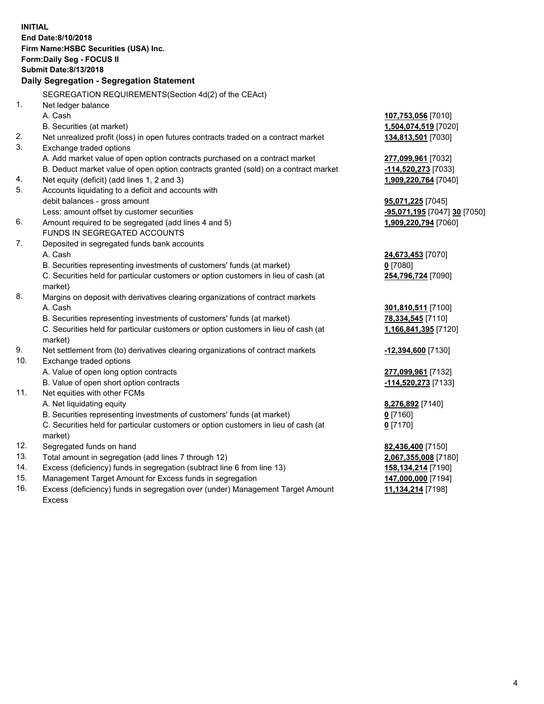|     | <b>INITIAL</b><br>End Date:8/10/2018<br>Firm Name: HSBC Securities (USA) Inc.<br>Form: Daily Seg - FOCUS II<br><b>Submit Date:8/13/2018</b><br>Daily Segregation - Segregation Statement |                              |
|-----|------------------------------------------------------------------------------------------------------------------------------------------------------------------------------------------|------------------------------|
|     |                                                                                                                                                                                          |                              |
|     | SEGREGATION REQUIREMENTS (Section 4d(2) of the CEAct)                                                                                                                                    |                              |
| 1.  | Net ledger balance                                                                                                                                                                       |                              |
|     | A. Cash                                                                                                                                                                                  | 107,753,056 [7010]           |
|     | B. Securities (at market)                                                                                                                                                                | 1,504,074,519 [7020]         |
| 2.  | Net unrealized profit (loss) in open futures contracts traded on a contract market                                                                                                       | 134,813,501 [7030]           |
| 3.  | Exchange traded options                                                                                                                                                                  |                              |
|     | A. Add market value of open option contracts purchased on a contract market                                                                                                              | 277,099,961 [7032]           |
|     | B. Deduct market value of open option contracts granted (sold) on a contract market                                                                                                      | <u>-114,520,273</u> [7033]   |
| 4.  | Net equity (deficit) (add lines 1, 2 and 3)                                                                                                                                              | 1,909,220,764 [7040]         |
| 5.  | Accounts liquidating to a deficit and accounts with                                                                                                                                      |                              |
|     | debit balances - gross amount                                                                                                                                                            | <b>95,071,225</b> [7045]     |
|     | Less: amount offset by customer securities                                                                                                                                               | -95,071,195 [7047] 30 [7050] |
| 6.  | Amount required to be segregated (add lines 4 and 5)                                                                                                                                     | 1,909,220,794 [7060]         |
|     | FUNDS IN SEGREGATED ACCOUNTS                                                                                                                                                             |                              |
| 7.  | Deposited in segregated funds bank accounts                                                                                                                                              |                              |
|     | A. Cash                                                                                                                                                                                  | 24,673,453 [7070]            |
|     | B. Securities representing investments of customers' funds (at market)                                                                                                                   | $0$ [7080]                   |
|     | C. Securities held for particular customers or option customers in lieu of cash (at<br>market)                                                                                           | 254,796,724 [7090]           |
| 8.  | Margins on deposit with derivatives clearing organizations of contract markets                                                                                                           |                              |
|     | A. Cash                                                                                                                                                                                  | 301,810,511 [7100]           |
|     | B. Securities representing investments of customers' funds (at market)                                                                                                                   | 78,334,545 [7110]            |
|     | C. Securities held for particular customers or option customers in lieu of cash (at                                                                                                      | 1,166,841,395 [7120]         |
|     | market)                                                                                                                                                                                  |                              |
| 9.  | Net settlement from (to) derivatives clearing organizations of contract markets                                                                                                          | -12,394,600 [7130]           |
| 10. | Exchange traded options                                                                                                                                                                  |                              |
|     | A. Value of open long option contracts                                                                                                                                                   | 277,099,961 [7132]           |
|     | B. Value of open short option contracts                                                                                                                                                  | -114,520,273 [7133]          |
| 11. | Net equities with other FCMs                                                                                                                                                             |                              |
|     | A. Net liquidating equity                                                                                                                                                                | 8,276,892 [7140]             |
|     | B. Securities representing investments of customers' funds (at market)                                                                                                                   | 0 <sup>[7160]</sup>          |
|     | C. Securities held for particular customers or option customers in lieu of cash (at                                                                                                      | $0$ [7170]                   |
|     | market)                                                                                                                                                                                  |                              |
| 12. | Segregated funds on hand                                                                                                                                                                 | 82,436,400 [7150]            |
| 13. | Total amount in segregation (add lines 7 through 12)                                                                                                                                     | 2,067,355,008 [7180]         |
| 14. | Excess (deficiency) funds in segregation (subtract line 6 from line 13)                                                                                                                  | <u>158,134,214</u> [7190]    |
| 15. | Management Target Amount for Excess funds in segregation                                                                                                                                 | 147,000,000 [7194]           |

16. Excess (deficiency) funds in segregation over (under) Management Target Amount Excess

**11,134,214** [7198]